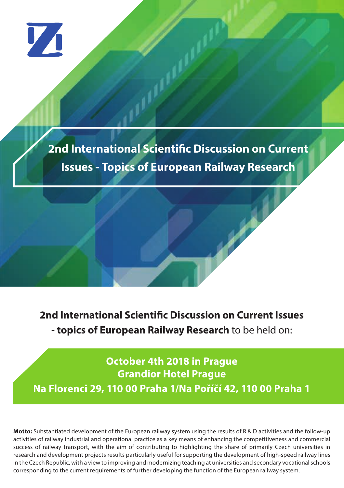V1

**2nd International Scientific Discussion on Current Issues - Topics of European Railway Research**

**2nd International Scientific Discussion on Current Issues - topics of European Railway Research** to be held on:

**October 4th 2018 in Prague Grandior Hotel Prague Na Florenci 29, 110 00 Praha 1/Na Poříčí 42, 110 00 Praha 1**

**Motto:** Substantiated development of the European railway system using the results of R & D activities and the follow-up activities of railway industrial and operational practice as a key means of enhancing the competitiveness and commercial success of railway transport, with the aim of contributing to highlighting the share of primarily Czech universities in research and development projects results particularly useful for supporting the development of high-speed railway lines in the Czech Republic, with a view to improving and modernizing teaching at universities and secondary vocational schools corresponding to the current requirements of further developing the function of the European railway system.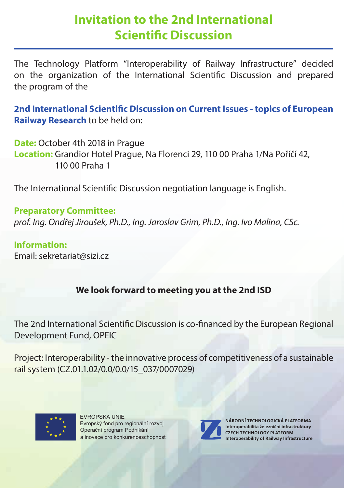# **Invitation to the 2nd International Scientific Discussion**

The Technology Platform "Interoperability of Railway Infrastructure" decided on the organization of the International Scientific Discussion and prepared the program of the

**2nd International Scientific Discussion on Current Issues - topics of European Railway Research** to be held on:

**Date:** October 4th 2018 in Prague **Location:** Grandior Hotel Prague, Na Florenci 29, 110 00 Praha 1/Na Poříčí 42, 110 00 Praha 1

The International Scientific Discussion negotiation language is English.

**Preparatory Committee:**  *prof. Ing. Ondřej Jiroušek, Ph.D., Ing. Jaroslav Grim, Ph.D., Ing. Ivo Malina, CSc.*

**Information:**  Email: sekretariat@sizi.cz

### **We look forward to meeting you at the 2nd ISD**

The 2nd International Scientific Discussion is co-financed by the European Regional Development Fund, OPEIC

Project: Interoperability - the innovative process of competitiveness of a sustainable rail system (CZ.01.1.02/0.0/0.0/15\_037/0007029)



EVROPSKÁ UNIE Evropský fond pro regionální rozvoj Operační program Podnikání a inovace pro konkurenceschopnost



**NÁRODNÍ TECHNOLOGICKÁ PLATFORMA Interoperabilita železniční infrastruktury CZECH TECHNOLOGY PLATFORM Interoperability of Railway Infrastructure**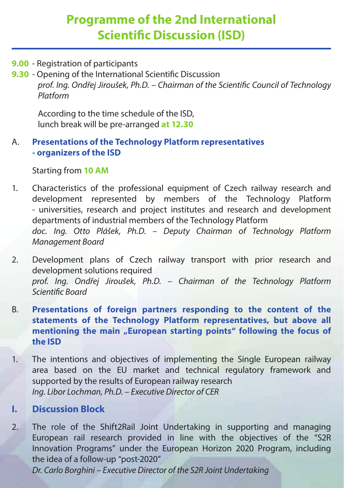# **Programme of the 2nd International Scientific Discussion (ISD)**

**9.00** - Registration of participants

**9.30** - Opening of the International Scientific Discussion prof. Ing. Ondřej Jiroušek, Ph.D. – Chairman of the Scientific Council of Technology  *Platform*

 According to the time schedule of the ISD, lunch break will be pre-arranged **at 12.30**

#### A. **Presentations of the Technology Platform representatives - organizers of the ISD**

Starting from **10 AM**

- 1. Characteristics of the professional equipment of Czech railway research and development represented by members of the Technology Platform - universities, research and project institutes and research and development departments of industrial members of the Technology Platform *doc. Ing. Otto Plášek, Ph.D. – Deputy Chairman of Technology Platform Management Board*
- 2. Development plans of Czech railway transport with prior research and development solutions required *prof. Ing. Ondřej Jiroušek, Ph.D. – Chairman of the Technology Platform*  **Scientific Board**
- B. **Presentations of foreign partners responding to the content of the statements of the Technology Platform representatives, but above all**  mentioning the main "European starting points" following the focus of  **the ISD**
- 1. The intentions and objectives of implementing the Single European railway area based on the EU market and technical regulatory framework and supported by the results of European railway research  *Ing. Libor Lochman, Ph.D. – Executive Director of CER*

#### **I. Discussion Block**

2. The role of the Shift2Rail Joint Undertaking in supporting and managing European rail research provided in line with the objectives of the "S2R Innovation Programs" under the European Horizon 2020 Program, including the idea of a follow-up "post-2020"

 *Dr. Carlo Borghini – Executive Director of the S2R Joint Undertaking*